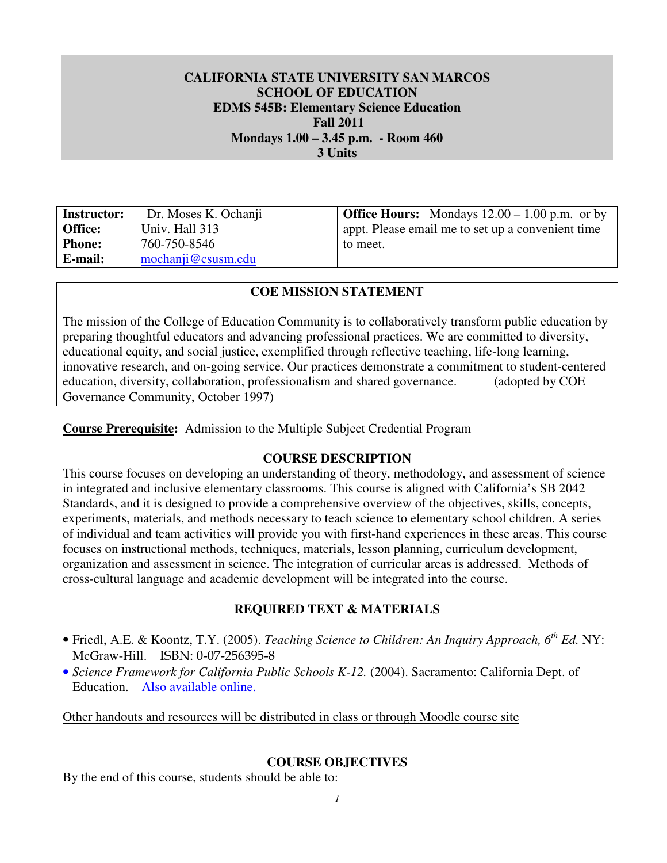## **CALIFORNIA STATE UNIVERSITY SAN MARCOS SCHOOL OF EDUCATION EDMS 545B: Elementary Science Education Fall 2011 Mondays 1.00 – 3.45 p.m. - Room 460 3 Units**

**Instructor:** Office: Phone: E-mail: 760-750-8546 **E-mail:** mochanji@csusm.edu

**Instructor:** Dr. Moses K. Ochanji **Office Hours:** Mondays 12.00 – 1.00 p.m. or by **Office:** Univ. Hall 313 appt. Please email me to set up a convenient time to meet.

## **COE MISSION STATEMENT**

 The mission of the College of Education Community is to collaboratively transform public education by preparing thoughtful educators and advancing professional practices. We are committed to diversity, educational equity, and social justice, exemplified through reflective teaching, life-long learning, innovative research, and on-going service. Our practices demonstrate a commitment to student-centered education, diversity, collaboration, professionalism and shared governance. (adopted by COE Governance Community, October 1997)

 **Course Prerequisite:** Admission to the Multiple Subject Credential Program

## **COURSE DESCRIPTION**

 This course focuses on developing an understanding of theory, methodology, and assessment of science in integrated and inclusive elementary classrooms. This course is aligned with California's SB 2042 Standards, and it is designed to provide a comprehensive overview of the objectives, skills, concepts, experiments, materials, and methods necessary to teach science to elementary school children. A series of individual and team activities will provide you with first-hand experiences in these areas. This course focuses on instructional methods, techniques, materials, lesson planning, curriculum development, organization and assessment in science. The integration of curricular areas is addressed. Methods of cross-cultural language and academic development will be integrated into the course.

## **REQUIRED TEXT & MATERIALS**

- • Friedl, A.E. & Koontz, T.Y. (2005). *Teaching Science to Children: An Inquiry Approach, 6th Ed.* NY: McGraw-Hill. ISBN: 0-07-256395-8
- *Science Framework for California Public Schools K-12.* (2004). Sacramento: California Dept. of Education. Also available online.

Other handouts and resources will be distributed in class or through Moodle course site

## **COURSE OBJECTIVES**

By the end of this course, students should be able to: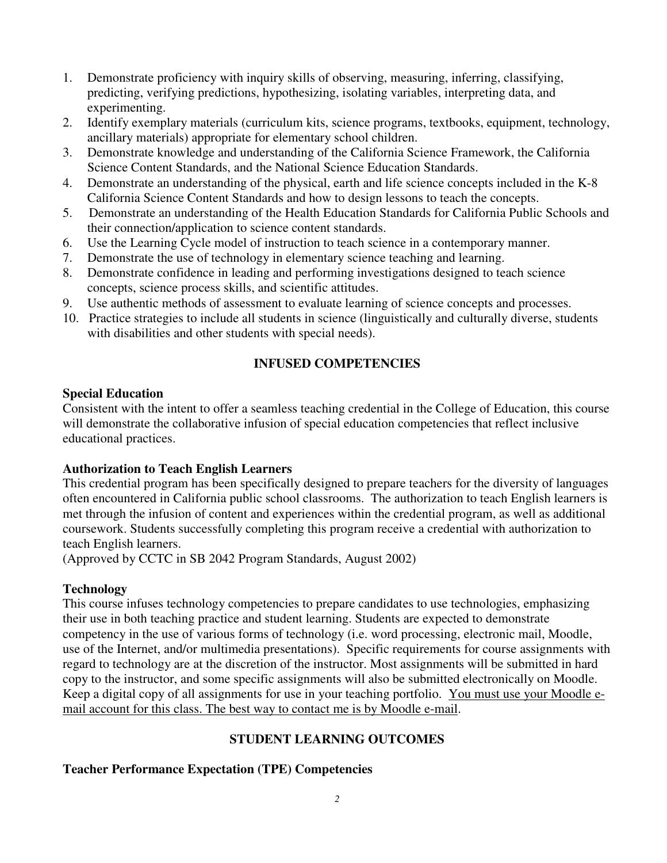- 1. Demonstrate proficiency with inquiry skills of observing, measuring, inferring, classifying, predicting, verifying predictions, hypothesizing, isolating variables, interpreting data, and experimenting.
- 2. ancillary materials) appropriate for elementary school children. Identify exemplary materials (curriculum kits, science programs, textbooks, equipment, technology,
- 3. Demonstrate knowledge and understanding of the California Science Framework, the California Science Content Standards, and the National Science Education Standards.
- 4. Demonstrate an understanding of the physical, earth and life science concepts included in the K-8 California Science Content Standards and how to design lessons to teach the concepts.
- 5. their connection/application to science content standards. Demonstrate an understanding of the Health Education Standards for California Public Schools and
- 6. Use the Learning Cycle model of instruction to teach science in a contemporary manner.
- 7. Demonstrate the use of technology in elementary science teaching and learning.
- 8. Demonstrate confidence in leading and performing investigations designed to teach science concepts, science process skills, and scientific attitudes.
- 9. Use authentic methods of assessment to evaluate learning of science concepts and processes.
- 10. Practice strategies to include all students in science (linguistically and culturally diverse, students with disabilities and other students with special needs).

# **INFUSED COMPETENCIES**

## **Special Education**

 Consistent with the intent to offer a seamless teaching credential in the College of Education, this course will demonstrate the collaborative infusion of special education competencies that reflect inclusive educational practices.

# **Authorization to Teach English Learners**

 This credential program has been specifically designed to prepare teachers for the diversity of languages often encountered in California public school classrooms. The authorization to teach English learners is met through the infusion of content and experiences within the credential program, as well as additional coursework. Students successfully completing this program receive a credential with authorization to teach English learners.

(Approved by CCTC in SB 2042 Program Standards, August 2002)

# **Technology**

 This course infuses technology competencies to prepare candidates to use technologies, emphasizing their use in both teaching practice and student learning. Students are expected to demonstrate competency in the use of various forms of technology (i.e. word processing, electronic mail, Moodle, use of the Internet, and/or multimedia presentations). Specific requirements for course assignments with regard to technology are at the discretion of the instructor. Most assignments will be submitted in hard copy to the instructor, and some specific assignments will also be submitted electronically on Moodle. Keep a digital copy of all assignments for use in your teaching portfolio. You must use your Moodle email account for this class. The best way to contact me is by Moodle e-mail.

# **STUDENT LEARNING OUTCOMES**

# **Teacher Performance Expectation (TPE) Competencies**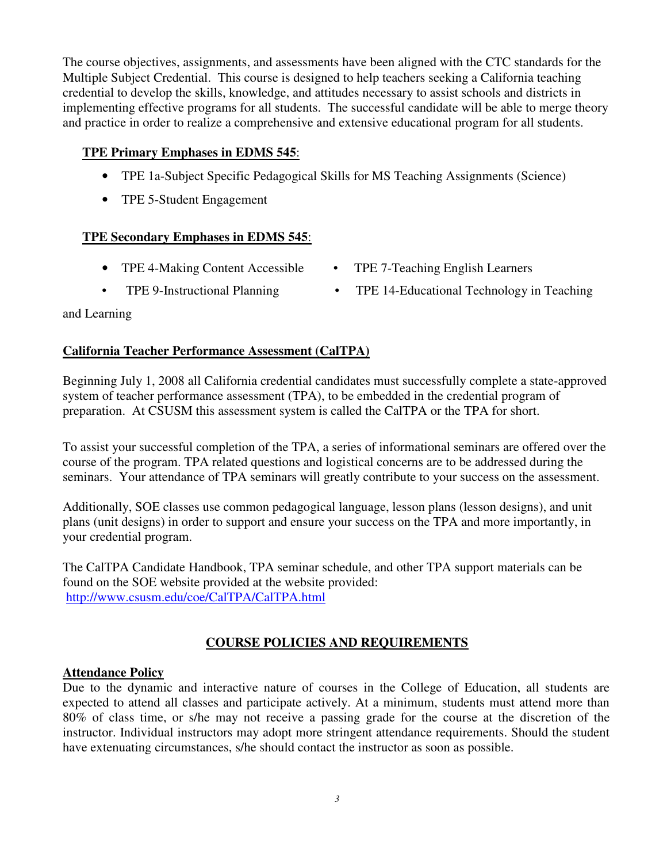The course objectives, assignments, and assessments have been aligned with the CTC standards for the Multiple Subject Credential. This course is designed to help teachers seeking a California teaching credential to develop the skills, knowledge, and attitudes necessary to assist schools and districts in implementing effective programs for all students. The successful candidate will be able to merge theory and practice in order to realize a comprehensive and extensive educational program for all students.

# **TPE Primary Emphases in EDMS 545**:

- TPE 1a-Subject Specific Pedagogical Skills for MS Teaching Assignments (Science)
- TPE 5-Student Engagement

## **TPE Secondary Emphases in EDMS 545**:

- TPE 4-Making Content Accessible TPE 7-Teaching English Learners
- 
- 
- TPE 9-Instructional Planning TPE 14-Educational Technology in Teaching

## and Learning

## **California Teacher Performance Assessment (CalTPA)**

 Beginning July 1, 2008 all California credential candidates must successfully complete a state-approved system of teacher performance assessment (TPA), to be embedded in the credential program of preparation. At CSUSM this assessment system is called the CalTPA or the TPA for short.

 To assist your successful completion of the TPA, a series of informational seminars are offered over the course of the program. TPA related questions and logistical concerns are to be addressed during the seminars. Your attendance of TPA seminars will greatly contribute to your success on the assessment.

 Additionally, SOE classes use common pedagogical language, lesson plans (lesson designs), and unit plans (unit designs) in order to support and ensure your success on the TPA and more importantly, in your credential program.

 The CalTPA Candidate Handbook, TPA seminar schedule, and other TPA support materials can be found on the SOE website provided at the website provided: http://www.csusm.edu/coe/CalTPA/CalTPA.html

# **COURSE POLICIES AND REQUIREMENTS**

## **Attendance Policy**

 Due to the dynamic and interactive nature of courses in the College of Education, all students are expected to attend all classes and participate actively. At a minimum, students must attend more than 80% of class time, or s/he may not receive a passing grade for the course at the discretion of the instructor. Individual instructors may adopt more stringent attendance requirements. Should the student have extenuating circumstances, s/he should contact the instructor as soon as possible.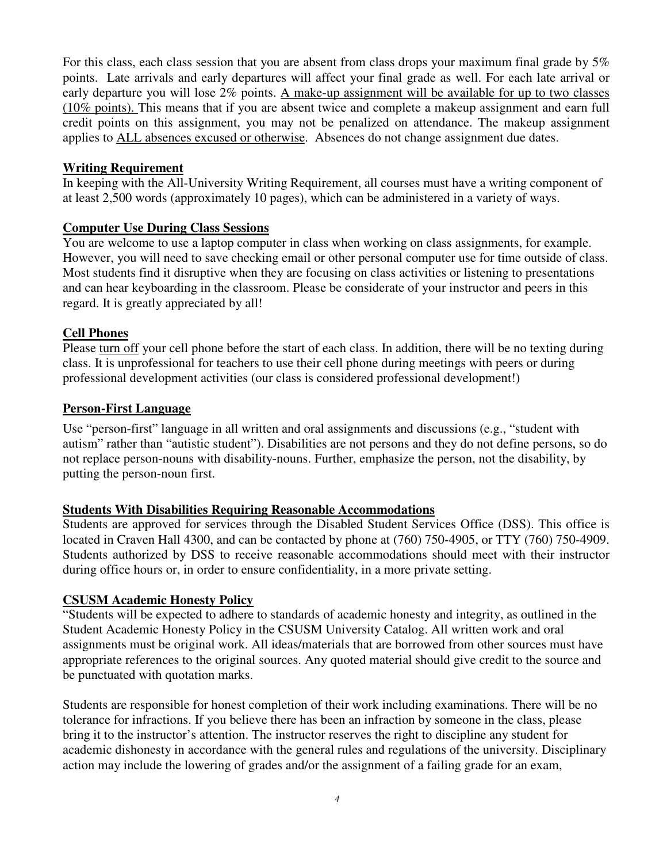For this class, each class session that you are absent from class drops your maximum final grade by 5% points. Late arrivals and early departures will affect your final grade as well. For each late arrival or early departure you will lose 2% points. A make-up assignment will be available for up to two classes (10% points). This means that if you are absent twice and complete a makeup assignment and earn full credit points on this assignment, you may not be penalized on attendance. The makeup assignment applies to **ALL** absences excused or otherwise. Absences do not change assignment due dates.

#### **Writing Requirement**

 In keeping with the All-University Writing Requirement, all courses must have a writing component of at least 2,500 words (approximately 10 pages), which can be administered in a variety of ways.

## **Computer Use During Class Sessions**

 You are welcome to use a laptop computer in class when working on class assignments, for example. However, you will need to save checking email or other personal computer use for time outside of class. Most students find it disruptive when they are focusing on class activities or listening to presentations and can hear keyboarding in the classroom. Please be considerate of your instructor and peers in this regard. It is greatly appreciated by all!

### **Cell Phones**

Please turn off your cell phone before the start of each class. In addition, there will be no texting during class. It is unprofessional for teachers to use their cell phone during meetings with peers or during professional development activities (our class is considered professional development!)

### **Person-First Language**

 Use "person-first" language in all written and oral assignments and discussions (e.g., "student with autism" rather than "autistic student"). Disabilities are not persons and they do not define persons, so do not replace person-nouns with disability-nouns. Further, emphasize the person, not the disability, by putting the person-noun first.

## **Students With Disabilities Requiring Reasonable Accommodations**

 Students are approved for services through the Disabled Student Services Office (DSS). This office is located in Craven Hall 4300, and can be contacted by phone at (760) 750-4905, or TTY (760) 750-4909. Students authorized by DSS to receive reasonable accommodations should meet with their instructor during office hours or, in order to ensure confidentiality, in a more private setting.

#### **CSUSM Academic Honesty Policy**

 "Students will be expected to adhere to standards of academic honesty and integrity, as outlined in the Student Academic Honesty Policy in the CSUSM University Catalog. All written work and oral assignments must be original work. All ideas/materials that are borrowed from other sources must have appropriate references to the original sources. Any quoted material should give credit to the source and be punctuated with quotation marks.

 Students are responsible for honest completion of their work including examinations. There will be no tolerance for infractions. If you believe there has been an infraction by someone in the class, please bring it to the instructor's attention. The instructor reserves the right to discipline any student for academic dishonesty in accordance with the general rules and regulations of the university. Disciplinary action may include the lowering of grades and/or the assignment of a failing grade for an exam,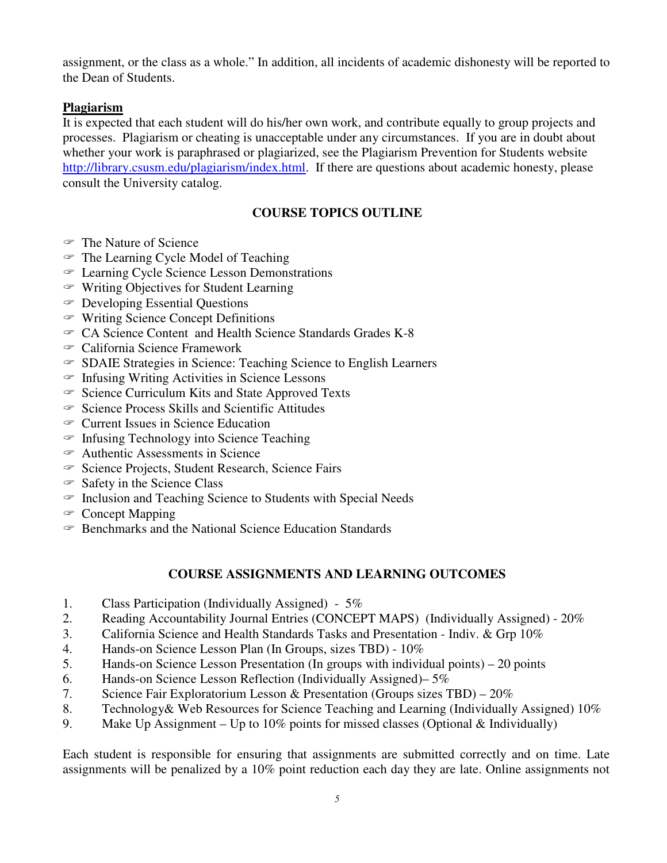assignment, or the class as a whole." In addition, all incidents of academic dishonesty will be reported to the Dean of Students.

## **Plagiarism**

 It is expected that each student will do his/her own work, and contribute equally to group projects and processes. Plagiarism or cheating is unacceptable under any circumstances. If you are in doubt about whether your work is paraphrased or plagiarized, see the Plagiarism Prevention for Students website http://library.csusm.edu/plagiarism/index.html. If there are questions about academic honesty, please consult the University catalog.

### **COURSE TOPICS OUTLINE**

- The Nature of Science
- $\mathcal F$  The Learning Cycle Model of Teaching
- c Learning Cycle Science Lesson Demonstrations
- c Writing Objectives for Student Learning
- $\in$  Developing Essential Questions
- $\in$  Writing Science Concept Definitions
- $\textdegree$  CA Science Content and Health Science Standards Grades K-8
- <sup>c</sup> California Science Framework
- c SDAIE Strategies in Science: Teaching Science to English Learners
- $\subseteq$  Infusing Writing Activities in Science Lessons
- $\degree$  Science Curriculum Kits and State Approved Texts
- $\in$  Science Process Skills and Scientific Attitudes
- <sup>c</sup> Current Issues in Science Education
- $\in$  Infusing Technology into Science Teaching
- $\epsilon$  Authentic Assessments in Science
- <sup>S</sup> Science Projects, Student Research, Science Fairs
- $\Im$  Safety in the Science Class
- $\epsilon$  Inclusion and Teaching Science to Students with Special Needs
- <sup>c</sup> Concept Mapping
- $\epsilon$  Benchmarks and the National Science Education Standards

#### **COURSE ASSIGNMENTS AND LEARNING OUTCOMES**

- 1. Class Participation (Individually Assigned) 5%
- 2. Reading Accountability Journal Entries (CONCEPT MAPS) (Individually Assigned) 20%
- 3. California Science and Health Standards Tasks and Presentation Indiv. & Grp 10%
- 4. Hands-on Science Lesson Plan (In Groups, sizes TBD) 10%
- 5. Hands-on Science Lesson Presentation (In groups with individual points) 20 points
- 6. Hands-on Science Lesson Reflection (Individually Assigned)– 5%
- 7. Science Fair Exploratorium Lesson & Presentation (Groups sizes TBD) 20%
- 8. Technology& Web Resources for Science Teaching and Learning (Individually Assigned) 10%
- 9. Make Up Assignment Up to 10% points for missed classes (Optional  $\&$  Individually)

 Each student is responsible for ensuring that assignments are submitted correctly and on time. Late assignments will be penalized by a 10% point reduction each day they are late. Online assignments not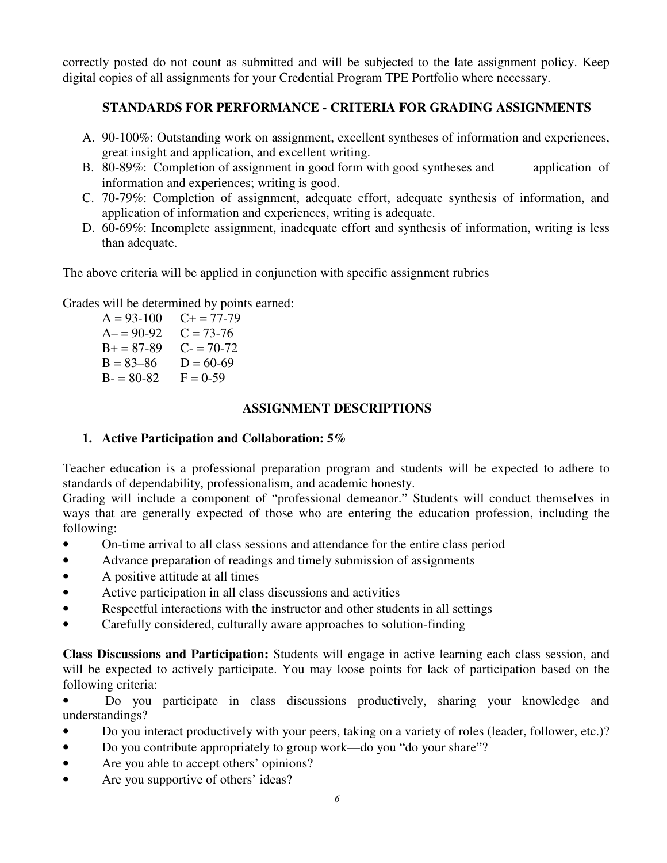correctly posted do not count as submitted and will be subjected to the late assignment policy. Keep digital copies of all assignments for your Credential Program TPE Portfolio where necessary.

## **STANDARDS FOR PERFORMANCE - CRITERIA FOR GRADING ASSIGNMENTS**

- A. 90-100%: Outstanding work on assignment, excellent syntheses of information and experiences, great insight and application, and excellent writing.
- B. 80-89%: Completion of assignment in good form with good syntheses and application of information and experiences; writing is good.
- C. 70-79%: Completion of assignment, adequate effort, adequate synthesis of information, and application of information and experiences, writing is adequate.
- D. 60-69%: Incomplete assignment, inadequate effort and synthesis of information, writing is less than adequate.

The above criteria will be applied in conjunction with specific assignment rubrics

Grades will be determined by points earned:

 $A = 93-100$   $C + 77-79$  $A = 90-92$   $C = 73-76$  $B+ = 87-89$  C- = 70-72  $B = 83 - 86$   $D = 60 - 69$  $B - 80 - 82$   $F = 0 - 59$ 

### **ASSIGNMENT DESCRIPTIONS**

## **1. Active Participation and Collaboration: 5%**

 Teacher education is a professional preparation program and students will be expected to adhere to standards of dependability, professionalism, and academic honesty.

 Grading will include a component of "professional demeanor." Students will conduct themselves in ways that are generally expected of those who are entering the education profession, including the following:

- On-time arrival to all class sessions and attendance for the entire class period
- Advance preparation of readings and timely submission of assignments
- A positive attitude at all times
- Active participation in all class discussions and activities
- Respectful interactions with the instructor and other students in all settings
- Carefully considered, culturally aware approaches to solution-finding

 **Class Discussions and Participation:** Students will engage in active learning each class session, and will be expected to actively participate. You may loose points for lack of participation based on the following criteria:

- • Do you participate in class discussions productively, sharing your knowledge and understandings?
- Do you interact productively with your peers, taking on a variety of roles (leader, follower, etc.)?
- Do you contribute appropriately to group work—do you "do your share"?
- Are you able to accept others' opinions?
- Are you supportive of others' ideas?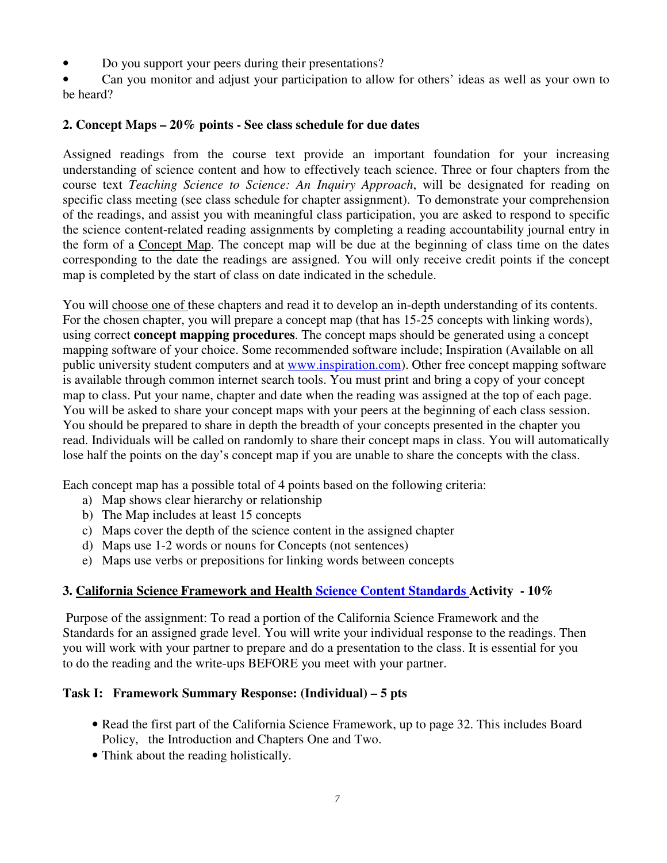• Do you support your peers during their presentations?

 • Can you monitor and adjust your participation to allow for others' ideas as well as your own to be heard?

## **2. Concept Maps – 20% points - See class schedule for due dates**

 Assigned readings from the course text provide an important foundation for your increasing understanding of science content and how to effectively teach science. Three or four chapters from the course text *Teaching Science to Science: An Inquiry Approach*, will be designated for reading on specific class meeting (see class schedule for chapter assignment). To demonstrate your comprehension of the readings, and assist you with meaningful class participation, you are asked to respond to specific the science content-related reading assignments by completing a reading accountability journal entry in the form of a Concept Map. The concept map will be due at the beginning of class time on the dates corresponding to the date the readings are assigned. You will only receive credit points if the concept map is completed by the start of class on date indicated in the schedule.

You will choose one of these chapters and read it to develop an in-depth understanding of its contents. For the chosen chapter, you will prepare a concept map (that has 15-25 concepts with linking words), using correct **concept mapping procedures**. The concept maps should be generated using a concept mapping software of your choice. Some recommended software include; Inspiration (Available on all public university student computers and at www.inspiration.com). Other free concept mapping software is available through common internet search tools. You must print and bring a copy of your concept map to class. Put your name, chapter and date when the reading was assigned at the top of each page. You will be asked to share your concept maps with your peers at the beginning of each class session. You should be prepared to share in depth the breadth of your concepts presented in the chapter you read. Individuals will be called on randomly to share their concept maps in class. You will automatically lose half the points on the day's concept map if you are unable to share the concepts with the class.

Each concept map has a possible total of 4 points based on the following criteria:

- a) Map shows clear hierarchy or relationship
- b) The Map includes at least 15 concepts
- c) Maps cover the depth of the science content in the assigned chapter
- d) Maps use 1-2 words or nouns for Concepts (not sentences)
- e) Maps use verbs or prepositions for linking words between concepts

## **3. California Science Framework and Health Science Content Standards Activity - 10%**

 Purpose of the assignment: To read a portion of the California Science Framework and the Standards for an assigned grade level. You will write your individual response to the readings. Then you will work with your partner to prepare and do a presentation to the class. It is essential for you to do the reading and the write-ups BEFORE you meet with your partner.

#### **Task I: Framework Summary Response: (Individual) – 5 pts**

- • Read the first part of the California Science Framework, up to page 32. This includes Board Policy, the Introduction and Chapters One and Two.
- Think about the reading holistically.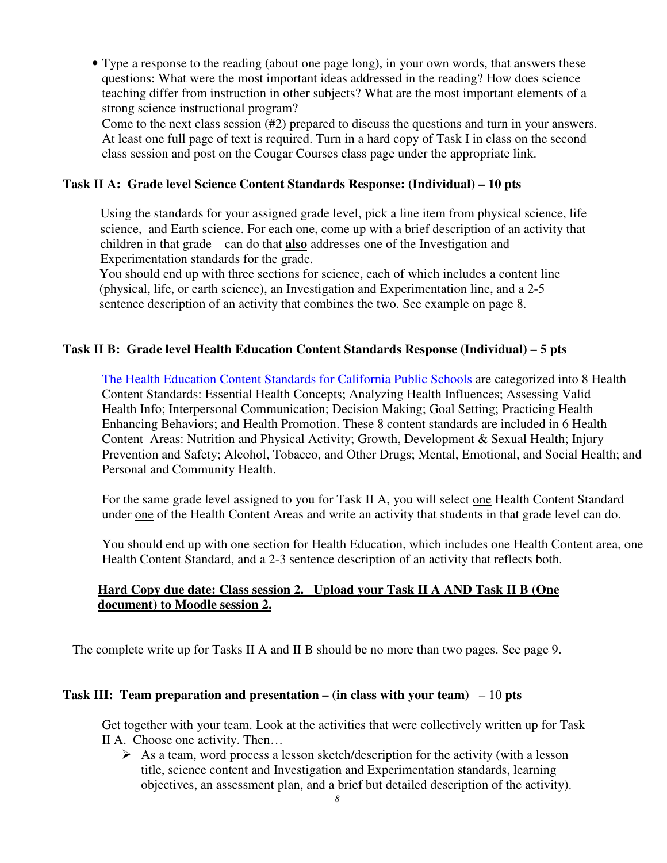• Type a response to the reading (about one page long), in your own words, that answers these questions: What were the most important ideas addressed in the reading? How does science teaching differ from instruction in other subjects? What are the most important elements of a strong science instructional program?

 Come to the next class session (#2) prepared to discuss the questions and turn in your answers. At least one full page of text is required. Turn in a hard copy of Task I in class on the second class session and post on the Cougar Courses class page under the appropriate link.

## **Task II A: Grade level Science Content Standards Response: (Individual) – 10 pts**

 Using the standards for your assigned grade level, pick a line item from physical science, life science, and Earth science. For each one, come up with a brief description of an activity that children in that grade can do that **also** addresses one of the Investigation and Experimentation standards for the grade.

 You should end up with three sections for science, each of which includes a content line (physical, life, or earth science), an Investigation and Experimentation line, and a 2-5 sentence description of an activity that combines the two. See example on page 8.

### **Task II B: Grade level Health Education Content Standards Response (Individual) – 5 pts**

The Health Education Content Standards for California Public Schools are categorized into 8 Health Content Standards: Essential Health Concepts; Analyzing Health Influences; Assessing Valid Health Info; Interpersonal Communication; Decision Making; Goal Setting; Practicing Health Enhancing Behaviors; and Health Promotion. These 8 content standards are included in 6 Health Content Areas: Nutrition and Physical Activity; Growth, Development & Sexual Health; Injury Prevention and Safety; Alcohol, Tobacco, and Other Drugs; Mental, Emotional, and Social Health; and Personal and Community Health.

For the same grade level assigned to you for Task II A, you will select one Health Content Standard under one of the Health Content Areas and write an activity that students in that grade level can do.

 You should end up with one section for Health Education, which includes one Health Content area, one Health Content Standard, and a 2-3 sentence description of an activity that reflects both.

## **Hard Copy due date: Class session 2. Upload your Task II A AND Task II B (One document) to Moodle session 2.**

The complete write up for Tasks II A and II B should be no more than two pages. See page 9.

### **Task III: Team preparation and presentation – (in class with your team)** – 10 **pts**

 Get together with your team. Look at the activities that were collectively written up for Task II A. Choose one activity. Then...

 $\triangleright$  As a team, word process a lesson sketch/description for the activity (with a lesson title, science content and Investigation and Experimentation standards, learning objectives, an assessment plan, and a brief but detailed description of the activity).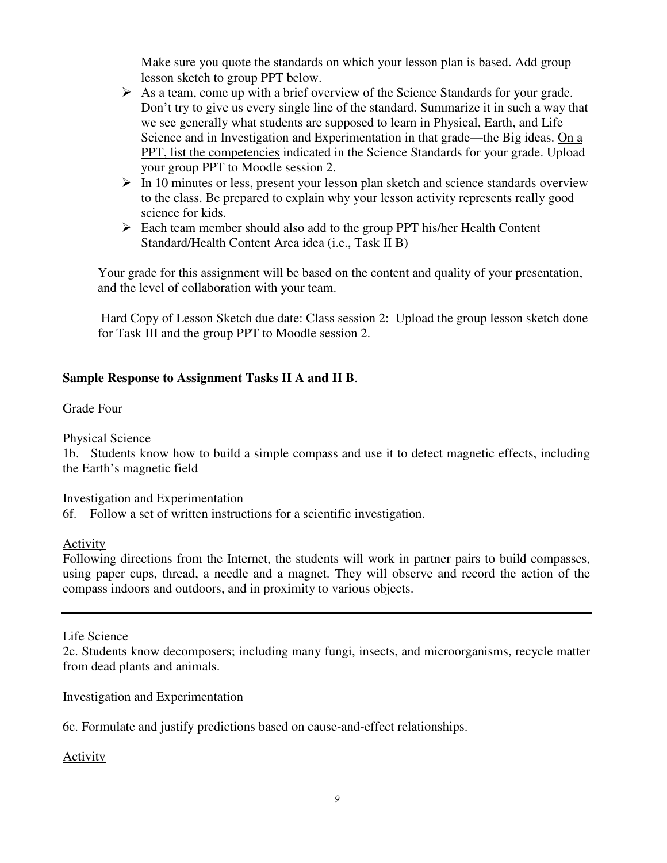Make sure you quote the standards on which your lesson plan is based. Add group lesson sketch to group PPT below.

- $\triangleright$  As a team, come up with a brief overview of the Science Standards for your grade. Don't try to give us every single line of the standard. Summarize it in such a way that we see generally what students are supposed to learn in Physical, Earth, and Life Science and in Investigation and Experimentation in that grade—the Big ideas. On a PPT, list the competencies indicated in the Science Standards for your grade. Upload your group PPT to Moodle session 2.
- $\triangleright$  In 10 minutes or less, present your lesson plan sketch and science standards overview to the class. Be prepared to explain why your lesson activity represents really good science for kids.
- $\triangleright$  Each team member should also add to the group PPT his/her Health Content Standard/Health Content Area idea (i.e., Task II B)

 Your grade for this assignment will be based on the content and quality of your presentation, and the level of collaboration with your team.

Hard Copy of Lesson Sketch due date: Class session 2: Upload the group lesson sketch done for Task III and the group PPT to Moodle session 2.

## **Sample Response to Assignment Tasks II A and II B**.

Grade Four

Physical Science

 1b. Students know how to build a simple compass and use it to detect magnetic effects, including the Earth's magnetic field

Investigation and Experimentation

6f. Follow a set of written instructions for a scientific investigation.

Activity

 Following directions from the Internet, the students will work in partner pairs to build compasses, using paper cups, thread, a needle and a magnet. They will observe and record the action of the compass indoors and outdoors, and in proximity to various objects.

Life Science

 2c. Students know decomposers; including many fungi, insects, and microorganisms, recycle matter from dead plants and animals.

Investigation and Experimentation

6c. Formulate and justify predictions based on cause-and-effect relationships.

Activity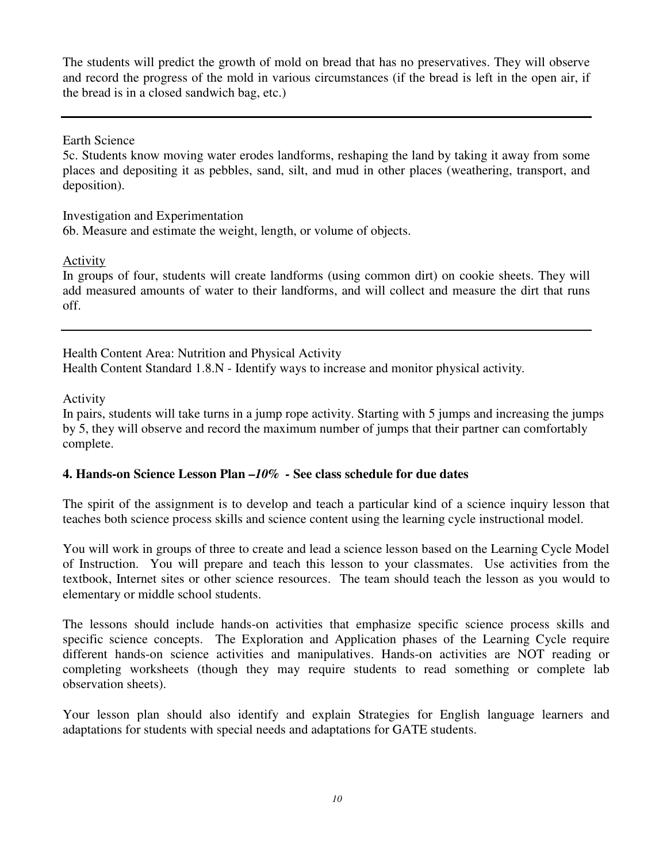The students will predict the growth of mold on bread that has no preservatives. They will observe and record the progress of the mold in various circumstances (if the bread is left in the open air, if the bread is in a closed sandwich bag, etc.)

Earth Science

 5c. Students know moving water erodes landforms, reshaping the land by taking it away from some places and depositing it as pebbles, sand, silt, and mud in other places (weathering, transport, and deposition).

 Investigation and Experimentation 6b. Measure and estimate the weight, length, or volume of objects.

Activity

 In groups of four, students will create landforms (using common dirt) on cookie sheets. They will add measured amounts of water to their landforms, and will collect and measure the dirt that runs off.

 Health Content Area: Nutrition and Physical Activity Health Content Standard 1.8.N - Identify ways to increase and monitor physical activity*.* 

Activity

 In pairs, students will take turns in a jump rope activity. Starting with 5 jumps and increasing the jumps by 5, they will observe and record the maximum number of jumps that their partner can comfortably complete.

# **4. Hands-on Science Lesson Plan –***10% -* **See class schedule for due dates**

 The spirit of the assignment is to develop and teach a particular kind of a science inquiry lesson that teaches both science process skills and science content using the learning cycle instructional model.

 You will work in groups of three to create and lead a science lesson based on the Learning Cycle Model of Instruction. You will prepare and teach this lesson to your classmates. Use activities from the textbook, Internet sites or other science resources. The team should teach the lesson as you would to elementary or middle school students.

 The lessons should include hands-on activities that emphasize specific science process skills and specific science concepts. The Exploration and Application phases of the Learning Cycle require different hands-on science activities and manipulatives. Hands-on activities are NOT reading or completing worksheets (though they may require students to read something or complete lab observation sheets).

 Your lesson plan should also identify and explain Strategies for English language learners and adaptations for students with special needs and adaptations for GATE students.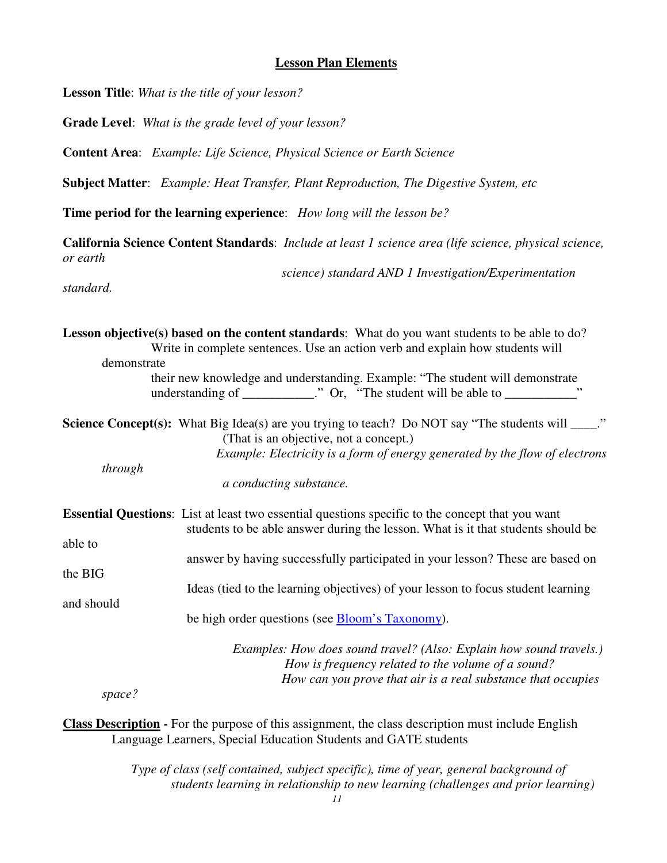#### **Lesson Plan Elements**

 **Lesson Title**: *What is the title of your lesson?* 

**Grade Level**: *What is the grade level of your lesson?* 

**Content Area**: *Example: Life Science, Physical Science or Earth Science* 

**Subject Matter**: *Example: Heat Transfer, Plant Reproduction, The Digestive System, etc* 

 **Time period for the learning experience**: *How long will the lesson be?* 

 **California Science Content Standards**: *Include at least 1 science area (life science, physical science, or earth* 

*science) standard AND 1 Investigation/Experimentation* 

*standard.* 

Lesson objective(s) based on the content standards: What do you want students to be able to do? **Science Concept(s):** What Big Idea(s) are you trying to teach? Do NOT say "The students will \_\_\_\_." **Essential Questions**: List at least two essential questions specific to the concept that you want able to the BIG and should Write in complete sentences. Use an action verb and explain how students will demonstrate their new knowledge and understanding. Example: "The student will demonstrate understanding of  $\begin{array}{ccc}\n\ldots & \ldots & \ldots \\
\ldots & \ldots & \ldots & \ldots\n\end{array}$  "The student will be able to  $\ldots$ (That is an objective, not a concept.) *Example: Electricity is a form of energy generated by the flow of electrons through a conducting substance.*  students to be able answer during the lesson. What is it that students should be answer by having successfully participated in your lesson? These are based on Ideas (tied to the learning objectives) of your lesson to focus student learning be high order questions (see Bloom's Taxonomy). *Examples: How does sound travel? (Also: Explain how sound travels.) How is frequency related to the volume of a sound? How can you prove that air is a real substance that occupies* 

*space?* 

 **Class Description -** For the purpose of this assignment, the class description must include English Language Learners, Special Education Students and GATE students

> *Type of class (self contained, subject specific), time of year, general background of students learning in relationship to new learning (challenges and prior learning)*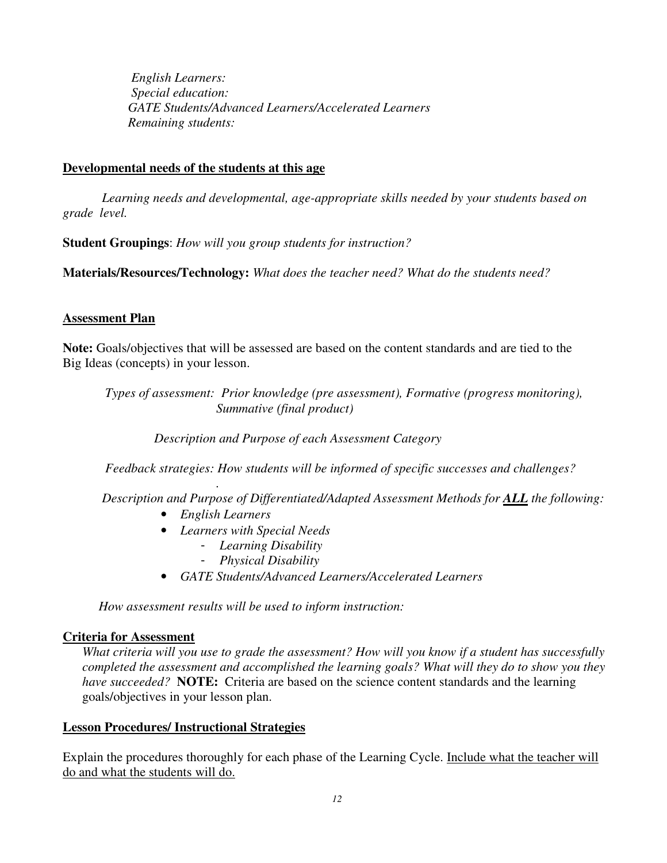*English Learners: Special education: GATE Students/Advanced Learners/Accelerated Learners Remaining students:* 

#### **Developmental needs of the students at this age**

 *Learning needs and developmental, age-appropriate skills needed by your students based on grade level.* 

 **Student Groupings**: *How will you group students for instruction?* 

 **Materials/Resources/Technology:** *What does the teacher need? What do the students need?* 

### **Assessment Plan**

 **Note:** Goals/objectives that will be assessed are based on the content standards and are tied to the Big Ideas (concepts) in your lesson.

*Types of assessment: Prior knowledge (pre assessment), Formative (progress monitoring), Summative (final product)* 

*Description and Purpose of each Assessment Category* 

*Feedback strategies: How students will be informed of specific successes and challenges?* 

*Description and Purpose of Differentiated/Adapted Assessment Methods for ALL the following:* 

 • *English Learners* 

*.* 

- • *Learners with Special Needs* 
	- *Learning Disability*
	- *Physical Disability*
- *GATE Students/Advanced Learners/Accelerated Learners*

*How assessment results will be used to inform instruction:* 

#### **Criteria for Assessment**

What criteria will you use to grade the assessment? How will you know if a student has successfully  *completed the assessment and accomplished the learning goals? What will they do to show you they have succeeded?* **NOTE:** Criteria are based on the science content standards and the learning goals/objectives in your lesson plan.

#### **Lesson Procedures/ Instructional Strategies**

Explain the procedures thoroughly for each phase of the Learning Cycle. Include what the teacher will do and what the students will do.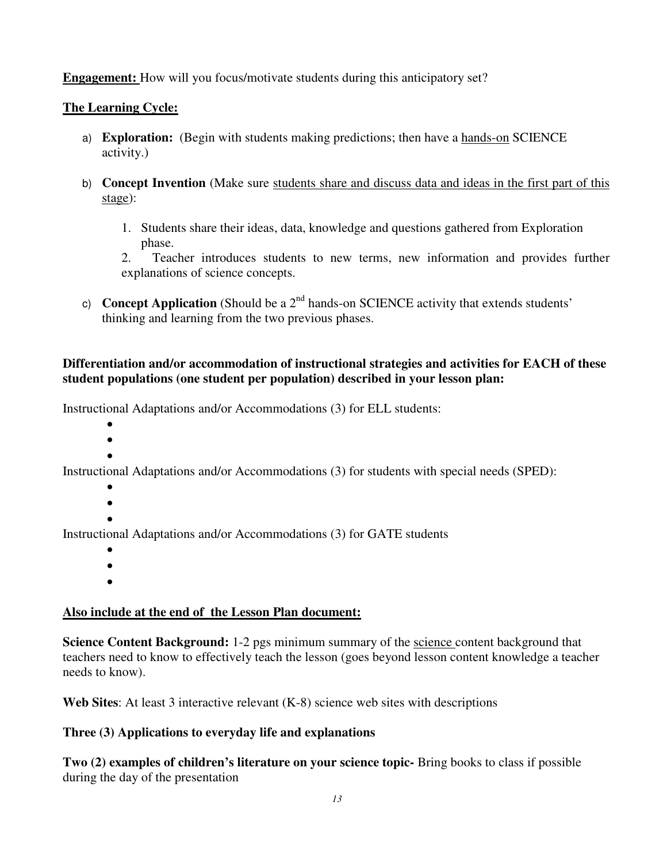**Engagement:** How will you focus/motivate students during this anticipatory set?

## **The Learning Cycle:**

- a) **Exploration:** (Begin with students making predictions; then have a hands-on SCIENCE activity.)
- b) **Concept Invention** (Make sure students share and discuss data and ideas in the first part of this stage):
	- 1. Students share their ideas, data, knowledge and questions gathered from Exploration phase.

 $2.$  explanations of science concepts. 2. Teacher introduces students to new terms, new information and provides further

c) **Concept Application** (Should be a  $2<sup>nd</sup>$  hands-on SCIENCE activity that extends students' thinking and learning from the two previous phases.

## **Differentiation and/or accommodation of instructional strategies and activities for EACH of these student populations (one student per population) described in your lesson plan:**

Instructional Adaptations and/or Accommodations (3) for ELL students:

- •
- $\bullet$ •

Instructional Adaptations and/or Accommodations (3) for students with special needs (SPED):

- •
- •
- •

Instructional Adaptations and/or Accommodations (3) for GATE students

- •
- •
- •

# **Also include at the end of the Lesson Plan document:**

**Science Content Background:** 1-2 pgs minimum summary of the science content background that teachers need to know to effectively teach the lesson (goes beyond lesson content knowledge a teacher needs to know).

**Web Sites**: At least 3 interactive relevant (K-8) science web sites with descriptions

# **Three (3) Applications to everyday life and explanations**

 **Two (2) examples of children's literature on your science topic-** Bring books to class if possible during the day of the presentation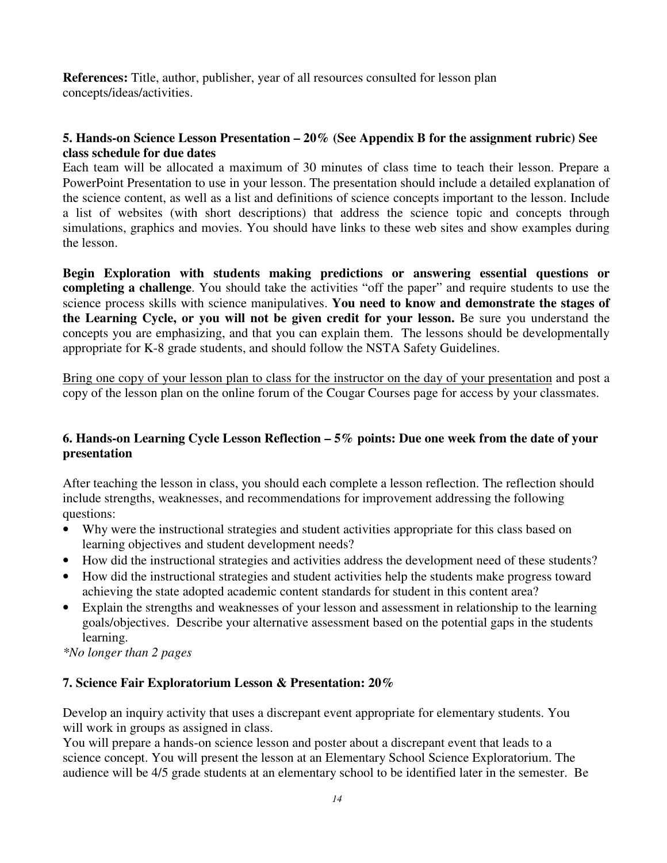**References:** Title, author, publisher, year of all resources consulted for lesson plan concepts/ideas/activities.

### **5. Hands-on Science Lesson Presentation – 20% (See Appendix B for the assignment rubric) See class schedule for due dates**

 Each team will be allocated a maximum of 30 minutes of class time to teach their lesson. Prepare a PowerPoint Presentation to use in your lesson. The presentation should include a detailed explanation of the science content, as well as a list and definitions of science concepts important to the lesson. Include a list of websites (with short descriptions) that address the science topic and concepts through simulations, graphics and movies. You should have links to these web sites and show examples during the lesson.

 **Begin Exploration with students making predictions or answering essential questions or completing a challenge**. You should take the activities "off the paper" and require students to use the science process skills with science manipulatives. **You need to know and demonstrate the stages of the Learning Cycle, or you will not be given credit for your lesson.** Be sure you understand the concepts you are emphasizing, and that you can explain them. The lessons should be developmentally appropriate for K-8 grade students, and should follow the NSTA Safety Guidelines.

Bring one copy of your lesson plan to class for the instructor on the day of your presentation and post a copy of the lesson plan on the online forum of the Cougar Courses page for access by your classmates.

### **6. Hands-on Learning Cycle Lesson Reflection – 5% points: Due one week from the date of your presentation**

 After teaching the lesson in class, you should each complete a lesson reflection. The reflection should include strengths, weaknesses, and recommendations for improvement addressing the following questions:

- • Why were the instructional strategies and student activities appropriate for this class based on learning objectives and student development needs?
- • How did the instructional strategies and activities address the development need of these students?
- • How did the instructional strategies and student activities help the students make progress toward achieving the state adopted academic content standards for student in this content area?
- • Explain the strengths and weaknesses of your lesson and assessment in relationship to the learning goals/objectives. Describe your alternative assessment based on the potential gaps in the students learning.

 *\*No longer than 2 pages* 

## **7. Science Fair Exploratorium Lesson & Presentation: 20%**

 Develop an inquiry activity that uses a discrepant event appropriate for elementary students. You will work in groups as assigned in class.

 You will prepare a hands-on science lesson and poster about a discrepant event that leads to a science concept. You will present the lesson at an Elementary School Science Exploratorium. The audience will be 4/5 grade students at an elementary school to be identified later in the semester. Be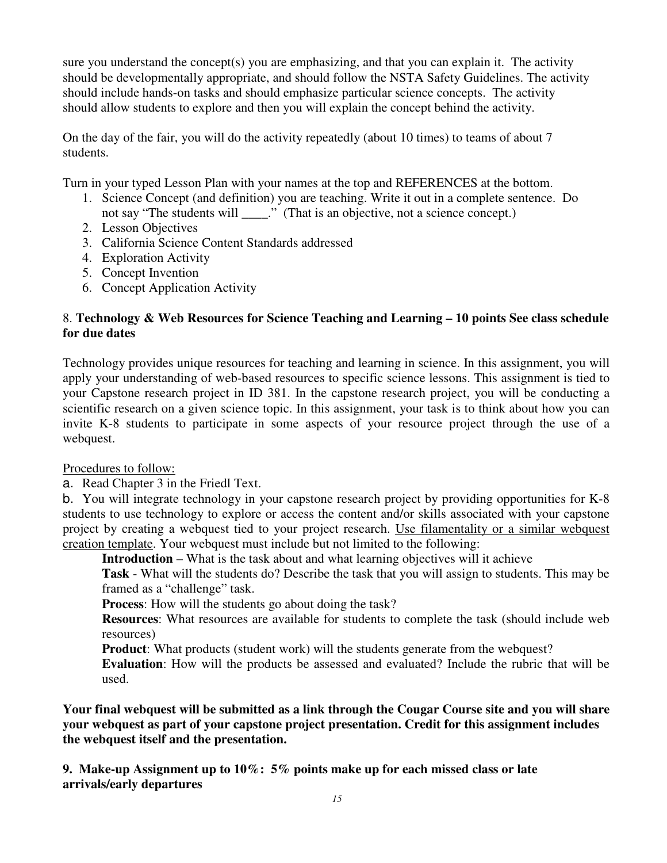sure you understand the concept(s) you are emphasizing, and that you can explain it. The activity should be developmentally appropriate, and should follow the NSTA Safety Guidelines. The activity should include hands-on tasks and should emphasize particular science concepts. The activity should allow students to explore and then you will explain the concept behind the activity.

 On the day of the fair, you will do the activity repeatedly (about 10 times) to teams of about 7 students.

Turn in your typed Lesson Plan with your names at the top and REFERENCES at the bottom.

- 1. Science Concept (and definition) you are teaching. Write it out in a complete sentence. Do not say "The students will \_\_\_\_." (That is an objective, not a science concept.)
- 2. Lesson Objectives
- 3. California Science Content Standards addressed
- 4. Exploration Activity
- 5. Concept Invention
- 6. Concept Application Activity

### 8. **Technology & Web Resources for Science Teaching and Learning – 10 points See class schedule for due dates**

 Technology provides unique resources for teaching and learning in science. In this assignment, you will apply your understanding of web-based resources to specific science lessons. This assignment is tied to your Capstone research project in ID 381. In the capstone research project, you will be conducting a scientific research on a given science topic. In this assignment, your task is to think about how you can invite K-8 students to participate in some aspects of your resource project through the use of a webquest.

Procedures to follow:

a. Read Chapter 3 in the Friedl Text.

 b. You will integrate technology in your capstone research project by providing opportunities for K-8 students to use technology to explore or access the content and/or skills associated with your capstone project by creating a webquest tied to your project research. Use filamentality or a similar webquest creation template. Your webquest must include but not limited to the following:

**Introduction** – What is the task about and what learning objectives will it achieve

 **Task** - What will the students do? Describe the task that you will assign to students. This may be framed as a "challenge" task.

**Process**: How will the students go about doing the task?

 **Resources**: What resources are available for students to complete the task (should include web resources)

**Product**: What products (student work) will the students generate from the webquest?

 **Evaluation**: How will the products be assessed and evaluated? Include the rubric that will be used.

 **Your final webquest will be submitted as a link through the Cougar Course site and you will share your webquest as part of your capstone project presentation. Credit for this assignment includes the webquest itself and the presentation.** 

 **9. Make-up Assignment up to 10%: 5% points make up for each missed class or late arrivals/early departures**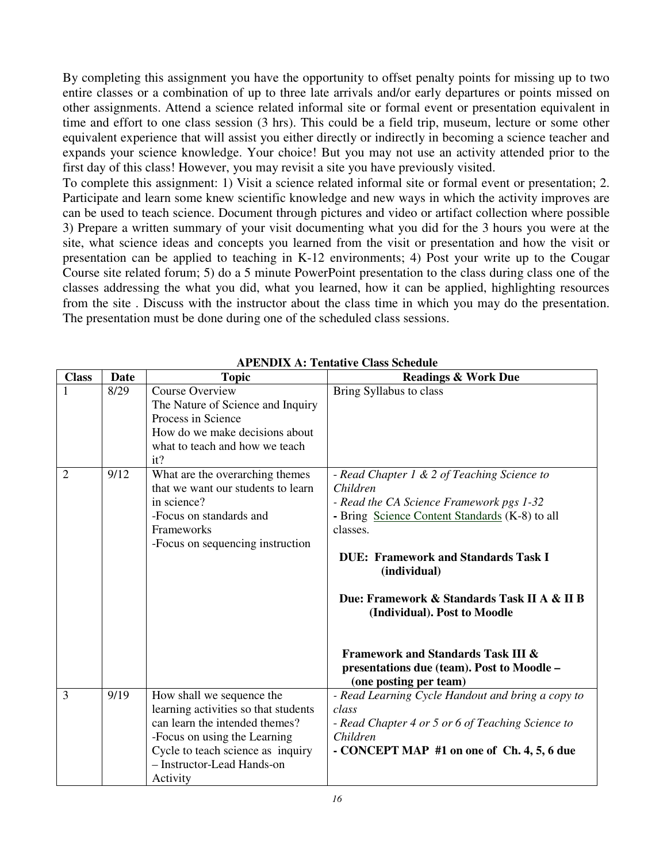By completing this assignment you have the opportunity to offset penalty points for missing up to two entire classes or a combination of up to three late arrivals and/or early departures or points missed on other assignments. Attend a science related informal site or formal event or presentation equivalent in time and effort to one class session (3 hrs). This could be a field trip, museum, lecture or some other equivalent experience that will assist you either directly or indirectly in becoming a science teacher and expands your science knowledge. Your choice! But you may not use an activity attended prior to the first day of this class! However, you may revisit a site you have previously visited.

 To complete this assignment: 1) Visit a science related informal site or formal event or presentation; 2. Participate and learn some knew scientific knowledge and new ways in which the activity improves are can be used to teach science. Document through pictures and video or artifact collection where possible 3) Prepare a written summary of your visit documenting what you did for the 3 hours you were at the site, what science ideas and concepts you learned from the visit or presentation and how the visit or presentation can be applied to teaching in K-12 environments; 4) Post your write up to the Cougar Course site related forum; 5) do a 5 minute PowerPoint presentation to the class during class one of the classes addressing the what you did, what you learned, how it can be applied, highlighting resources from the site . Discuss with the instructor about the class time in which you may do the presentation. The presentation must be done during one of the scheduled class sessions.

| <b>Class</b>   | Date | <b>Topic</b>                                                                                                                                                                                                       | <b>Readings &amp; Work Due</b>                                                                                                                                                                                                                                                                                                                                                                                                          |
|----------------|------|--------------------------------------------------------------------------------------------------------------------------------------------------------------------------------------------------------------------|-----------------------------------------------------------------------------------------------------------------------------------------------------------------------------------------------------------------------------------------------------------------------------------------------------------------------------------------------------------------------------------------------------------------------------------------|
| 1              | 8/29 | <b>Course Overview</b><br>The Nature of Science and Inquiry<br>Process in Science<br>How do we make decisions about<br>what to teach and how we teach<br>it?                                                       | Bring Syllabus to class                                                                                                                                                                                                                                                                                                                                                                                                                 |
| $\overline{2}$ | 9/12 | What are the overarching themes<br>that we want our students to learn<br>in science?<br>-Focus on standards and<br>Frameworks<br>-Focus on sequencing instruction                                                  | - Read Chapter 1 & 2 of Teaching Science to<br>Children<br>- Read the CA Science Framework pgs 1-32<br>- Bring Science Content Standards (K-8) to all<br>classes.<br><b>DUE: Framework and Standards Task I</b><br>(individual)<br>Due: Framework & Standards Task II A & II B<br>(Individual). Post to Moodle<br><b>Framework and Standards Task III &amp;</b><br>presentations due (team). Post to Moodle -<br>(one posting per team) |
| 3              | 9/19 | How shall we sequence the<br>learning activities so that students<br>can learn the intended themes?<br>-Focus on using the Learning<br>Cycle to teach science as inquiry<br>- Instructor-Lead Hands-on<br>Activity | - Read Learning Cycle Handout and bring a copy to<br>class<br>- Read Chapter 4 or 5 or 6 of Teaching Science to<br>Children<br>- CONCEPT MAP #1 on one of Ch. 4, 5, 6 due                                                                                                                                                                                                                                                               |

 **APENDIX A: Tentative Class Schedule**